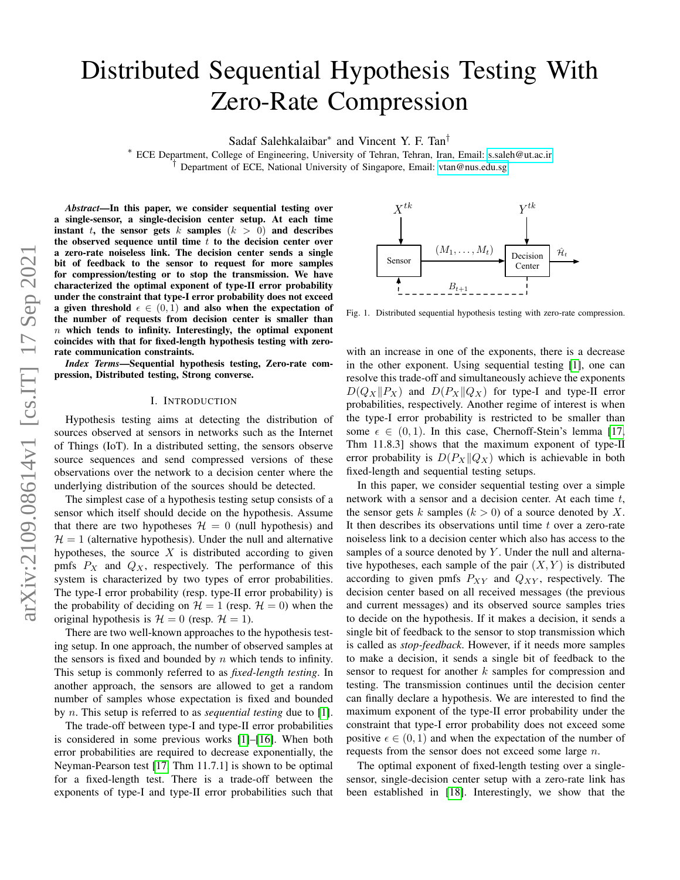# Distributed Sequential Hypothesis Testing With Zero-Rate Compression

Sadaf Salehkalaibar<sup>∗</sup> and Vincent Y. F. Tan†

<sup>∗</sup> ECE Department, College of Engineering, University of Tehran, Tehran, Iran, Email:<s.saleh@ut.ac.ir> <sup> $\bar{f}$ </sup> Department of ECE, National University of Singapore, Email:<vtan@nus.edu.sg>

*Abstract*—In this paper, we consider sequential testing over a single-sensor, a single-decision center setup. At each time instant t, the sensor gets k samples  $(k > 0)$  and describes the observed sequence until time  $t$  to the decision center over a zero-rate noiseless link. The decision center sends a single bit of feedback to the sensor to request for more samples for compression/testing or to stop the transmission. We have characterized the optimal exponent of type-II error probability under the constraint that type-I error probability does not exceed a given threshold  $\epsilon \in (0, 1)$  and also when the expectation of the number of requests from decision center is smaller than  $n$  which tends to infinity. Interestingly, the optimal exponent coincides with that for fixed-length hypothesis testing with zerorate communication constraints.

*Index Terms*—Sequential hypothesis testing, Zero-rate compression, Distributed testing, Strong converse.

#### I. INTRODUCTION

Hypothesis testing aims at detecting the distribution of sources observed at sensors in networks such as the Internet of Things (IoT). In a distributed setting, the sensors observe source sequences and send compressed versions of these observations over the network to a decision center where the underlying distribution of the sources should be detected.

The simplest case of a hypothesis testing setup consists of a sensor which itself should decide on the hypothesis. Assume that there are two hypotheses  $\mathcal{H} = 0$  (null hypothesis) and  $H = 1$  (alternative hypothesis). Under the null and alternative hypotheses, the source  $X$  is distributed according to given pmfs  $P_X$  and  $Q_X$ , respectively. The performance of this system is characterized by two types of error probabilities. The type-I error probability (resp. type-II error probability) is the probability of deciding on  $\mathcal{H} = 1$  (resp.  $\mathcal{H} = 0$ ) when the original hypothesis is  $\mathcal{H} = 0$  (resp.  $\mathcal{H} = 1$ ).

There are two well-known approaches to the hypothesis testing setup. In one approach, the number of observed samples at the sensors is fixed and bounded by  $n$  which tends to infinity. This setup is commonly referred to as *fixed-length testing*. In another approach, the sensors are allowed to get a random number of samples whose expectation is fixed and bounded by n. This setup is referred to as *sequential testing* due to [\[1\]](#page-4-0).

The trade-off between type-I and type-II error probabilities is considered in some previous works [\[1\]](#page-4-0)–[\[16\]](#page-4-1). When both error probabilities are required to decrease exponentially, the Neyman-Pearson test [\[17,](#page-4-2) Thm 11.7.1] is shown to be optimal for a fixed-length test. There is a trade-off between the



<span id="page-0-0"></span>Fig. 1. Distributed sequential hypothesis testing with zero-rate compression.

with an increase in one of the exponents, there is a decrease in the other exponent. Using sequential testing [\[1\]](#page-4-0), one can resolve this trade-off and simultaneously achieve the exponents  $D(Q_X||P_X)$  and  $D(P_X||Q_X)$  for type-I and type-II error probabilities, respectively. Another regime of interest is when the type-I error probability is restricted to be smaller than some  $\epsilon \in (0, 1)$ . In this case, Chernoff-Stein's lemma [\[17,](#page-4-2) Thm 11.8.3] shows that the maximum exponent of type-II error probability is  $D(P_X||Q_X)$  which is achievable in both fixed-length and sequential testing setups.

Exporance and east one decision and the effect of the energy of the energy of the content in the point of the point of the point of the point of the point of the point of the point of the sensor of type-II error probabili In this paper, we consider sequential testing over a simple network with a sensor and a decision center. At each time t, the sensor gets k samples  $(k > 0)$  of a source denoted by X. It then describes its observations until time  $t$  over a zero-rate noiseless link to a decision center which also has access to the samples of a source denoted by  $Y$ . Under the null and alternative hypotheses, each sample of the pair  $(X, Y)$  is distributed according to given pmfs  $P_{XY}$  and  $Q_{XY}$ , respectively. The decision center based on all received messages (the previous and current messages) and its observed source samples tries to decide on the hypothesis. If it makes a decision, it sends a single bit of feedback to the sensor to stop transmission which is called as *stop-feedback*. However, if it needs more samples to make a decision, it sends a single bit of feedback to the sensor to request for another  $k$  samples for compression and testing. The transmission continues until the decision center can finally declare a hypothesis. We are interested to find the maximum exponent of the type-II error probability under the constraint that type-I error probability does not exceed some positive  $\epsilon \in (0,1)$  and when the expectation of the number of requests from the sensor does not exceed some large n.

The optimal exponent of fixed-length testing over a singlesensor, single-decision center setup with a zero-rate link has been established in [\[18\]](#page-4-3). Interestingly, we show that the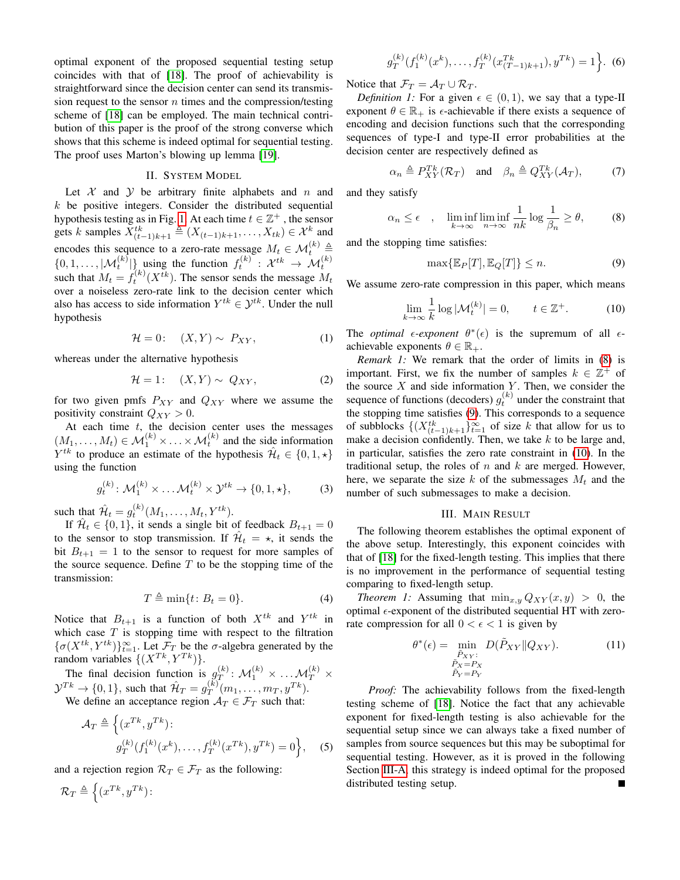optimal exponent of the proposed sequential testing setup coincides with that of [\[18\]](#page-4-3). The proof of achievability is straightforward since the decision center can send its transmission request to the sensor  $n$  times and the compression/testing scheme of [\[18\]](#page-4-3) can be employed. The main technical contribution of this paper is the proof of the strong converse which shows that this scheme is indeed optimal for sequential testing. The proof uses Marton's blowing up lemma [\[19\]](#page-4-4).

# II. SYSTEM MODEL

Let  $X$  and  $Y$  be arbitrary finite alphabets and n and  $k$  be positive integers. Consider the distributed sequential hypothesis testing as in Fig. [1.](#page-0-0) At each time  $t \in \mathbb{Z}^+$ , the sensor gets k samples  $X_{(t-1)k+1}^{tk} \triangleq (X_{(t-1)k+1}, \ldots, X_{tk}) \in \mathcal{X}^k$  and encodes this sequence to a zero-rate message  $M_t \in \mathcal{M}_t^{(k)} \triangleq$  $\{0, 1, \ldots, |\mathcal{M}_t^{(k)}|\}$  using the function  $f_t^{(k)}: \mathcal{X}^{tk} \to \mathcal{M}_t^{(k)}$ such that  $M_t = f_t^{(k)}(X^{tk})$ . The sensor sends the message  $M_t$ over a noiseless zero-rate link to the decision center which also has access to side information  $Y^{tk} \in \mathcal{Y}^{tk}$ . Under the null hypothesis

$$
\mathcal{H} = 0: \quad (X, Y) \sim P_{XY}, \tag{1}
$$

whereas under the alternative hypothesis

$$
\mathcal{H} = 1: \quad (X, Y) \sim Q_{XY}, \tag{2}
$$

for two given pmfs  $P_{XY}$  and  $Q_{XY}$  where we assume the positivity constraint  $Q_{XY} > 0$ .

At each time  $t$ , the decision center uses the messages  $(M_1, \ldots, M_t) \in \mathcal{M}_1^{(k)} \times \ldots \times \mathcal{M}_t^{(k)}$  and the side information  $Y^{tk}$  to produce an estimate of the hypothesis  $\hat{\mathcal{H}}_t \in \{0, 1, \star\}$ using the function

$$
g_t^{(k)}: \mathcal{M}_1^{(k)} \times \ldots \mathcal{M}_t^{(k)} \times \mathcal{Y}^{tk} \to \{0, 1, \star\},\tag{3}
$$

such that  $\mathcal{H}_t = g_t^{(k)}(M_1, \dots, M_t, Y^{tk}).$ 

If  $\hat{\mathcal{H}}_t \in \{0, 1\}$ , it sends a single bit of feedback  $B_{t+1} = 0$ to the sensor to stop transmission. If  $\hat{\mathcal{H}}_t = \star$ , it sends the bit  $B_{t+1} = 1$  to the sensor to request for more samples of the source sequence. Define  $T$  to be the stopping time of the transmission:

$$
T \triangleq \min\{t \colon B_t = 0\}.\tag{4}
$$

Notice that  $B_{t+1}$  is a function of both  $X^{tk}$  and  $Y^{tk}$  in which case  $T$  is stopping time with respect to the filtration  $\{\sigma(X^{tk}, Y^{tk})\}_{t=1}^{\infty}$ . Let  $\mathcal{F}_T$  be the  $\sigma$ -algebra generated by the random variables  $\{(X^{Tk}, Y^{Tk})\}.$ 

The final decision function is  $g_T^{(k)}$  $\mathcal{M}_T^{(k)} \colon \mathcal{M}_1^{(k)} \times \ldots \mathcal{M}_T^{(k)} \times$  $\mathcal{Y}^{Tk} \to \{0, 1\}$ , such that  $\mathcal{H}_T = g_T^{(k)}$  $T^{(k)}(m_1, \ldots, m_T, y^{Tk}).$ 

We define an acceptance region  $A_T \in \mathcal{F}_T$  such that:

$$
\mathcal{A}_T \triangleq \left\{ (x^{Tk}, y^{Tk}) : g_T^{(k)}(f_1^{(k)}(x^k), \dots, f_T^{(k)}(x^{Tk}), y^{Tk}) = 0 \right\}, \quad (5)
$$

and a rejection region  $\mathcal{R}_T \in \mathcal{F}_T$  as the following:

$$
\mathcal{R}_T \triangleq \left\{ (x^{Tk}, y^{Tk}) \right\}
$$

$$
g_T^{(k)}(f_1^{(k)}(x^k),\ldots,f_T^{(k)}(x_{(T-1)k+1}^{Tk}),y^{Tk}) = 1 \Big\}.
$$
 (6)

Notice that  $\mathcal{F}_T = \mathcal{A}_T \cup \mathcal{R}_T$ .

*Definition 1:* For a given  $\epsilon \in (0,1)$ , we say that a type-II exponent  $\theta \in \mathbb{R}_+$  is  $\epsilon$ -achievable if there exists a sequence of encoding and decision functions such that the corresponding sequences of type-I and type-II error probabilities at the decision center are respectively defined as

$$
\alpha_n \triangleq P_{XY}^{Tk}(\mathcal{R}_T) \quad \text{and} \quad \beta_n \triangleq Q_{XY}^{Tk}(\mathcal{A}_T), \tag{7}
$$

and they satisfy

$$
\alpha_n \le \epsilon \quad , \quad \liminf_{k \to \infty} \liminf_{n \to \infty} \frac{1}{nk} \log \frac{1}{\beta_n} \ge \theta, \tag{8}
$$

and the stopping time satisfies:

<span id="page-1-2"></span><span id="page-1-1"></span><span id="page-1-0"></span>
$$
\max\{\mathbb{E}_P[T], \mathbb{E}_Q[T]\} \le n.
$$
\n(9)

We assume zero-rate compression in this paper, which means

$$
\lim_{k \to \infty} \frac{1}{k} \log |\mathcal{M}_t^{(k)}| = 0, \qquad t \in \mathbb{Z}^+. \tag{10}
$$

The *optimal*  $\epsilon$ -exponent  $\theta^*(\epsilon)$  is the supremum of all  $\epsilon$ achievable exponents  $\theta \in \mathbb{R}_+$ .

*Remark 1:* We remark that the order of limits in [\(8\)](#page-1-0) is important. First, we fix the number of samples  $k \in \mathbb{Z}^+$  of the source  $X$  and side information  $Y$ . Then, we consider the sequence of functions (decoders)  $g_t^{(k)}$  under the constraint that the stopping time satisfies [\(9\)](#page-1-1). This corresponds to a sequence of subblocks  $\{(X_{(t-1)k+1}^{tk}\}_{t=1}^{\infty}$  of size k that allow for us to make a decision confidently. Then, we take  $k$  to be large and, in particular, satisfies the zero rate constraint in [\(10\)](#page-1-2). In the traditional setup, the roles of  $n$  and  $k$  are merged. However, here, we separate the size k of the submessages  $M_t$  and the number of such submessages to make a decision.

# <span id="page-1-3"></span>III. MAIN RESULT

The following theorem establishes the optimal exponent of the above setup. Interestingly, this exponent coincides with that of [\[18\]](#page-4-3) for the fixed-length testing. This implies that there is no improvement in the performance of sequential testing comparing to fixed-length setup.

*Theorem 1:* Assuming that  $\min_{x,y} Q_{XY}(x, y) > 0$ , the optimal  $\epsilon$ -exponent of the distributed sequential HT with zerorate compression for all  $0 < \epsilon < 1$  is given by

$$
\theta^*(\epsilon) = \min_{\substack{\tilde{P}_{XY}:\\ \tilde{P}_X = P_X\\ \tilde{P}_Y = P_Y}} D(\tilde{P}_{XY} || Q_{XY}).
$$
\n(11)

*Proof:* The achievability follows from the fixed-length testing scheme of [\[18\]](#page-4-3). Notice the fact that any achievable exponent for fixed-length testing is also achievable for the sequential setup since we can always take a fixed number of samples from source sequences but this may be suboptimal for sequential testing. However, as it is proved in the following Section [III-A,](#page-2-0) this strategy is indeed optimal for the proposed distributed testing setup.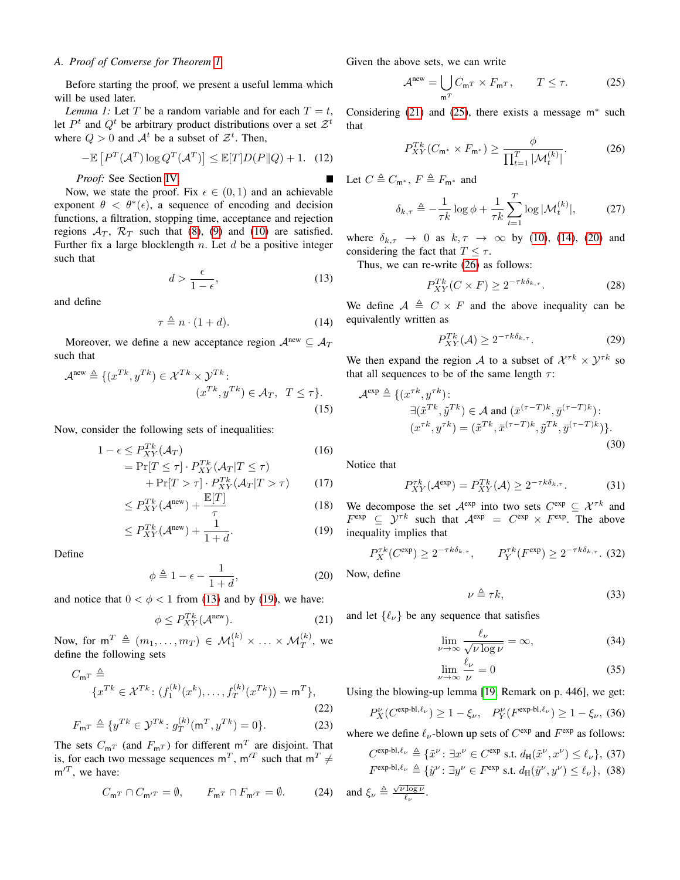### <span id="page-2-0"></span>*A. Proof of Converse for Theorem [1](#page-1-3)*

Before starting the proof, we present a useful lemma which will be used later.

<span id="page-2-9"></span>*Lemma 1:* Let T be a random variable and for each  $T = t$ , let  $P^t$  and  $Q^t$  be arbitrary product distributions over a set  $\mathcal{Z}^t$ where  $Q > 0$  and  $A<sup>t</sup>$  be a subset of  $\mathcal{Z}<sup>t</sup>$ . Then,

$$
-\mathbb{E}\left[P^T(\mathcal{A}^T)\log Q^T(\mathcal{A}^T)\right] \le \mathbb{E}[T]D(P||Q) + 1. \quad (12)
$$

*Proof:* See Section [IV.](#page-3-0)

Now, we state the proof. Fix  $\epsilon \in (0,1)$  and an achievable exponent  $\theta < \theta^*(\epsilon)$ , a sequence of encoding and decision functions, a filtration, stopping time, acceptance and rejection regions  $A_T$ ,  $R_T$  such that [\(8\)](#page-1-0), [\(9\)](#page-1-1) and [\(10\)](#page-1-2) are satisfied. Further fix a large blocklength  $n$ . Let  $d$  be a positive integer such that

$$
d > \frac{\epsilon}{1 - \epsilon},\tag{13}
$$

and define

$$
\tau \triangleq n \cdot (1 + d). \tag{14}
$$

Moreover, we define a new acceptance region  $\mathcal{A}^{\text{new}} \subseteq \mathcal{A}_{\mathcal{T}}$ such that

$$
\mathcal{A}^{\text{new}} \triangleq \{ (x^{Tk}, y^{Tk}) \in \mathcal{X}^{Tk} \times \mathcal{Y}^{Tk} : (x^{Tk}, y^{Tk}) \in \mathcal{A}_T, T \leq \tau \}.
$$
\n(15)

Now, consider the following sets of inequalities:

$$
1 - \epsilon \le P_{XY}^{Tk}(\mathcal{A}_T) \tag{16}
$$

$$
= \Pr[T \leq \tau] \cdot P_{XY}^{Tk}(A_T | T \leq \tau) + \Pr[T > \tau] \cdot P_{XY}^{Tk}(A_T | T > \tau)
$$
(17)

$$
\leq P_{XY}^{Tk}(\mathcal{A}^{\text{new}}) + \frac{\mathbb{E}[T]}{\tau} \tag{18}
$$

$$
\leq P_{XY}^{Tk}(\mathcal{A}^{\text{new}}) + \frac{1}{1+d}.\tag{19}
$$

Define

$$
\phi \triangleq 1 - \epsilon - \frac{1}{1 + d},\tag{20}
$$

and notice that  $0 < \phi < 1$  from [\(13\)](#page-2-1) and by [\(19\)](#page-2-2), we have:

$$
\phi \le P_{XY}^{Tk}(\mathcal{A}^{\text{new}}). \tag{21}
$$

Now, for  $\mathsf{m}^T \triangleq (m_1, \ldots, m_T) \in \mathcal{M}_1^{(k)} \times \ldots \times \mathcal{M}_T^{(k)}$ , we define the following sets

$$
C_{\mathsf{m}^T} \triangleq \{x^{Tk} \in \mathcal{X}^{Tk} \colon (f_1^{(k)}(x^k), \dots, f_T^{(k)}(x^{Tk})) = \mathsf{m}^T\},\tag{22}
$$

$$
F_{\mathbf{m}^T} \triangleq \{ y^{Tk} \in \mathcal{Y}^{Tk} : g_T^{(k)}(\mathbf{m}^T, y^{Tk}) = 0 \}.
$$
 (23)

The sets  $C_{mT}$  (and  $F_{mT}$ ) for different  $m^{T}$  are disjoint. That is, for each two message sequences  $m^T$ ,  $m^{\prime T}$  such that  $m^T \neq$  $m^{\prime T}$ , we have:

$$
C_{\mathbf{m}^T} \cap C_{\mathbf{m}^{\prime T}} = \emptyset, \qquad F_{\mathbf{m}^T} \cap F_{\mathbf{m}^{\prime T}} = \emptyset. \tag{24}
$$

Given the above sets, we can write

<span id="page-2-4"></span>
$$
\mathcal{A}^{\text{new}} = \bigcup_{\mathbf{m}^T} C_{\mathbf{m}^T} \times F_{\mathbf{m}^T}, \qquad T \le \tau. \tag{25}
$$

Considering  $(21)$  and  $(25)$ , there exists a message m<sup>\*</sup> such that

<span id="page-2-7"></span>
$$
P_{XY}^{Tk}(C_{\mathsf{m}^*} \times F_{\mathsf{m}^*}) \ge \frac{\phi}{\prod_{t=1}^T |\mathcal{M}_t^{(k)}|}.
$$
 (26)

Let  $C \triangleq C_{m^*}$ ,  $F \triangleq F_{m^*}$  and

$$
\delta_{k,\tau} \triangleq -\frac{1}{\tau k} \log \phi + \frac{1}{\tau k} \sum_{t=1}^{T} \log |\mathcal{M}_t^{(k)}|, \tag{27}
$$

where  $\delta_{k,\tau} \rightarrow 0$  as  $k,\tau \rightarrow \infty$  by [\(10\)](#page-1-2), [\(14\)](#page-2-5), [\(20\)](#page-2-6) and considering the fact that  $T \leq \tau$ .

<span id="page-2-1"></span>Thus, we can re-write [\(26\)](#page-2-7) as follows:

$$
P_{XY}^{Tk}(C \times F) \ge 2^{-\tau k \delta_{k,\tau}}.
$$
 (28)

<span id="page-2-5"></span>We define  $A \triangleq C \times F$  and the above inequality can be equivalently written as

$$
P_{XY}^{Tk}(\mathcal{A}) \ge 2^{-\tau k \delta_{k,\tau}}.
$$
 (29)

We then expand the region A to a subset of  $\mathcal{X}^{\tau k} \times \mathcal{Y}^{\tau k}$  so that all sequences to be of the same length  $\tau$ :

$$
\mathcal{A}^{\text{exp}} \triangleq \{ (x^{\tau k}, y^{\tau k}) : \n\exists (\tilde{x}^{Tk}, \tilde{y}^{Tk}) \in \mathcal{A} \text{ and } (\bar{x}^{(\tau - T)k}, \bar{y}^{(\tau - T)k}) : \n(x^{\tau k}, y^{\tau k}) = (\tilde{x}^{Tk}, \bar{x}^{(\tau - T)k}, \tilde{y}^{Tk}, \bar{y}^{(\tau - T)k}) \}.
$$
\n(30)

Notice that

$$
P_{XY}^{\tau k}(\mathcal{A}^{\exp}) = P_{XY}^{Tk}(\mathcal{A}) \ge 2^{-\tau k \delta_{k,\tau}}.
$$
 (31)

<span id="page-2-2"></span>We decompose the set  $\mathcal{A}^{\text{exp}}$  into two sets  $C^{\text{exp}} \subseteq \mathcal{X}^{\tau k}$  and  $F^{\text{exp}} \subseteq \mathcal{Y}^{\tau k}$  such that  $\mathcal{A}^{\text{exp}} = C^{\text{exp}} \times F^{\text{exp}}$ . The above inequality implies that

$$
P_X^{\tau k}(C^{\exp}) \ge 2^{-\tau k \delta_{k,\tau}}, \qquad P_Y^{\tau k}(F^{\exp}) \ge 2^{-\tau k \delta_{k,\tau}}.
$$
 (32)

<span id="page-2-6"></span>Now, define

$$
\nu \triangleq \tau k,\tag{33}
$$

<span id="page-2-3"></span>and let  $\{\ell_{\nu}\}\$ be any sequence that satisfies

$$
\lim_{\nu \to \infty} \frac{\ell_{\nu}}{\sqrt{\nu \log \nu}} = \infty, \tag{34}
$$

<span id="page-2-8"></span>
$$
\lim_{\nu \to \infty} \frac{\ell_{\nu}}{\nu} = 0 \tag{35}
$$

Using the blowing-up lemma [\[19,](#page-4-4) Remark on p. 446], we get:

$$
P_X^{\nu}(C^{\exp\text{-}bl,\ell_{\nu}}) \ge 1 - \xi_{\nu}, \quad P_Y^{\nu}(F^{\exp\text{-}bl,\ell_{\nu}}) \ge 1 - \xi_{\nu}, \tag{36}
$$

where we define  $\ell_{\nu}$ -blown up sets of  $C^{\text{exp}}$  and  $F^{\text{exp}}$  as follows:

$$
C^{\exp\text{-bl},\ell_{\nu}} \triangleq \{ \tilde{x}^{\nu} \colon \exists x^{\nu} \in C^{\exp} \text{ s.t. } d_{\mathcal{H}}(\tilde{x}^{\nu}, x^{\nu}) \leq \ell_{\nu} \},\ (37)
$$

$$
F^{\exp\text{-bl},\ell_{\nu}} \triangleq \{ \tilde{y}^{\nu} \colon \exists y^{\nu} \in F^{\exp} \text{ s.t. } d_{\mathcal{H}}(\tilde{y}^{\nu}, y^{\nu}) \leq \ell_{\nu} \},\ (38)
$$

and  $\xi_{\nu} \triangleq \frac{\sqrt{\nu \log \nu}}{\ell_{\nu}}$ .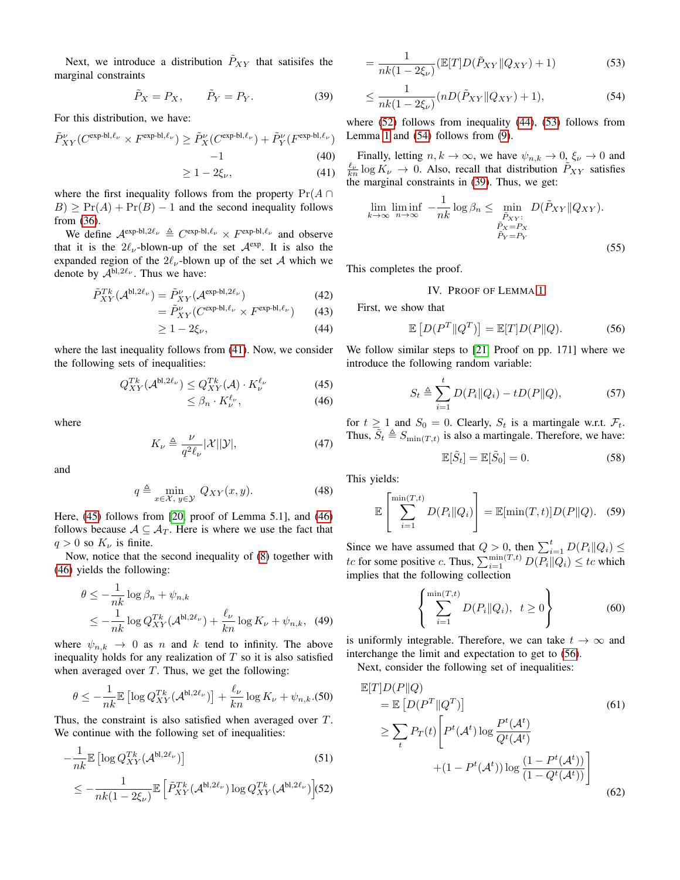Next, we introduce a distribution  $\tilde{P}_{XY}$  that satisifes the marginal constraints

$$
\tilde{P}_X = P_X, \qquad \tilde{P}_Y = P_Y. \tag{39}
$$

For this distribution, we have:

$$
\tilde{P}_{XY}^{\nu}(C^{\exp\text{-}bl,\ell_{\nu}} \times F^{\exp\text{-}bl,\ell_{\nu}}) \ge \tilde{P}_X^{\nu}(C^{\exp\text{-}bl,\ell_{\nu}}) + \tilde{P}_Y^{\nu}(F^{\exp\text{-}bl,\ell_{\nu}})
$$

$$
-1
$$
\n
$$
\geq 1 - 2\xi_{\nu},
$$
\n(40)\n(41)

where the first inequality follows from the property  $Pr(A \cap$  $B$ )  $\geq$  Pr(A) + Pr(B) – 1 and the second inequality follows from [\(36\)](#page-2-8).

We define  $\mathcal{A}^{\text{exp-bl},2\ell_{\nu}} \triangleq C^{\text{exp-bl},\ell_{\nu}} \times F^{\text{exp-bl},\ell_{\nu}}$  and observe that it is the  $2\ell_{\nu}$ -blown-up of the set  $\mathcal{A}^{\text{exp}}$ . It is also the expanded region of the  $2\ell_{\nu}$ -blown up of the set A which we denote by  $\mathcal{A}^{bl,2\ell_{\nu}}$ . Thus we have:

$$
\tilde{P}_{XY}^{Tk}(\mathcal{A}^{\text{bl},2\ell_{\nu}}) = \tilde{P}_{XY}^{\nu}(\mathcal{A}^{\text{exp-bl},2\ell_{\nu}})
$$
\n(42)

$$
= \tilde{P}_{XY}^{\nu} (C^{\exp\text{-}bl,\ell_{\nu}} \times F^{\exp\text{-}bl,\ell_{\nu}}) \tag{43}
$$

$$
\geq 1 - 2\xi_{\nu},\tag{44}
$$

where the last inequality follows from [\(41\)](#page-3-1). Now, we consider the following sets of inequalities:

$$
Q_{XY}^{Tk}(\mathcal{A}^{\mathsf{bl},2\ell_{\nu}}) \le Q_{XY}^{Tk}(\mathcal{A}) \cdot K_{\nu}^{\ell_{\nu}}
$$
(45)

$$
\leq \beta_n \cdot K_{\nu}^{\ell_{\nu}},\tag{46}
$$

where

$$
K_{\nu} \triangleq \frac{\nu}{q^2 \ell_{\nu}} |\mathcal{X}| |\mathcal{Y}|,\tag{47}
$$

and

$$
q \triangleq \min_{x \in \mathcal{X}, y \in \mathcal{Y}} Q_{XY}(x, y). \tag{48}
$$

Here, [\(45\)](#page-3-2) follows from [\[20,](#page-4-5) proof of Lemma 5.1], and [\(46\)](#page-3-3) follows because  $A \subseteq A_T$ . Here is where we use the fact that  $q > 0$  so  $K_{\nu}$  is finite.

Now, notice that the second inequality of [\(8\)](#page-1-0) together with [\(46\)](#page-3-3) yields the following:

$$
\theta \le -\frac{1}{nk} \log \beta_n + \psi_{n,k}
$$
  
\n
$$
\le -\frac{1}{nk} \log Q_{XY}^{Tk}(\mathcal{A}^{\text{bl},2\ell_{\nu}}) + \frac{\ell_{\nu}}{kn} \log K_{\nu} + \psi_{n,k}, \quad (49)
$$

where  $\psi_{n,k} \to 0$  as n and k tend to infinity. The above inequality holds for any realization of  $T$  so it is also satisfied when averaged over  $T$ . Thus, we get the following:

$$
\theta \le -\frac{1}{nk} \mathbb{E} \left[ \log Q_{XY}^{Tk}(\mathcal{A}^{\text{bl},2\ell_{\nu}}) \right] + \frac{\ell_{\nu}}{kn} \log K_{\nu} + \psi_{n,k}.
$$
 (50)

Thus, the constraint is also satisfied when averaged over T. We continue with the following set of inequalities:

$$
-\frac{1}{nk} \mathbb{E} \left[ \log Q_{XY}^{Tk}(\mathcal{A}^{\mathsf{bl},2\ell_{\nu}}) \right]
$$
\n
$$
\leq -\frac{1}{nk(1-2\xi_{\nu})} \mathbb{E} \left[ \tilde{P}_{XY}^{Tk}(\mathcal{A}^{\mathsf{bl},2\ell_{\nu}}) \log Q_{XY}^{Tk}(\mathcal{A}^{\mathsf{bl},2\ell_{\nu}}) \right] (52)
$$

<span id="page-3-6"></span>
$$
= \frac{1}{nk(1 - 2\xi_{\nu})} (\mathbb{E}[T]D(\tilde{P}_{XY}||Q_{XY}) + 1)
$$
\n(53)

<span id="page-3-7"></span>
$$
\leq \frac{1}{nk(1 - 2\xi_{\nu})} (nD(\tilde{P}_{XY} \| Q_{XY}) + 1), \tag{54}
$$

<span id="page-3-8"></span>where [\(52\)](#page-3-4) follows from inequality [\(44\)](#page-3-5), [\(53\)](#page-3-6) follows from Lemma [1](#page-2-9) and [\(54\)](#page-3-7) follows from [\(9\)](#page-1-1).

<span id="page-3-1"></span>Finally, letting  $n, k \to \infty$ , we have  $\psi_{n,k} \to 0, \xi_{\nu} \to 0$  and  $\frac{\ell_{\nu}}{kn}$  log  $K_{\nu} \to 0$ . Also, recall that distribution  $\tilde{P}_{XY}$  satisfies the marginal constraints in [\(39\)](#page-3-8). Thus, we get:

$$
\lim_{k \to \infty} \liminf_{n \to \infty} -\frac{1}{nk} \log \beta_n \le \min_{\substack{\tilde{P}_{XY}: \\ \tilde{P}_Y = P_X \\ \tilde{P}_Y = P_Y}} D(\tilde{P}_{XY} || Q_{XY}).
$$
\n(55)

<span id="page-3-0"></span>This completes the proof.

# <span id="page-3-9"></span>IV. PROOF OF LEMMA [1](#page-2-9)

First, we show that

$$
\mathbb{E}\left[D(P^T \| Q^T)\right] = \mathbb{E}[T]D(P \| Q). \tag{56}
$$

<span id="page-3-5"></span><span id="page-3-2"></span>We follow similar steps to [\[21,](#page-4-6) Proof on pp. 171] where we introduce the following random variable:

$$
S_t \triangleq \sum_{i=1}^{t} D(P_i \| Q_i) - t D(P \| Q), \tag{57}
$$

<span id="page-3-3"></span>for  $t \ge 1$  and  $S_0 = 0$ . Clearly,  $S_t$  is a martingale w.r.t.  $\mathcal{F}_t$ . Thus,  $\tilde{S}_t \triangleq S_{\min(T,t)}$  is also a martingale. Therefore, we have:

$$
\mathbb{E}[\tilde{S}_t] = \mathbb{E}[\tilde{S}_0] = 0. \tag{58}
$$

This yields:

$$
\mathbb{E}\left[\sum_{i=1}^{\min(T,t)} D(P_i||Q_i)\right] = \mathbb{E}[\min(T,t)]D(P||Q). \quad (59)
$$

Since we have assumed that  $Q > 0$ , then  $\sum_{i=1}^{t} D(P_i || Q_i) \leq$ tc for some positive c. Thus,  $\sum_{i=1}^{\min(T,t)} D(P_i||Q_i) \leq tc$  which implies that the following collection

$$
\left\{\sum_{i=1}^{\min(T,t)} D(P_i||Q_i), \ t \ge 0\right\} \tag{60}
$$

is uniformly integrable. Therefore, we can take  $t \to \infty$  and interchange the limit and expectation to get to [\(56\)](#page-3-9).

Next, consider the following set of inequalities:

<span id="page-3-10"></span><span id="page-3-4"></span>
$$
\mathbb{E}[T]D(P||Q)
$$
\n
$$
= \mathbb{E}\left[D(P^T||Q^T)\right]
$$
\n
$$
\geq \sum_t P_T(t) \left[P^t(\mathcal{A}^t) \log \frac{P^t(\mathcal{A}^t)}{Q^t(\mathcal{A}^t)} + (1 - P^t(\mathcal{A}^t)) \log \frac{(1 - P^t(\mathcal{A}^t))}{(1 - Q^t(\mathcal{A}^t))}\right]
$$
\n(62)